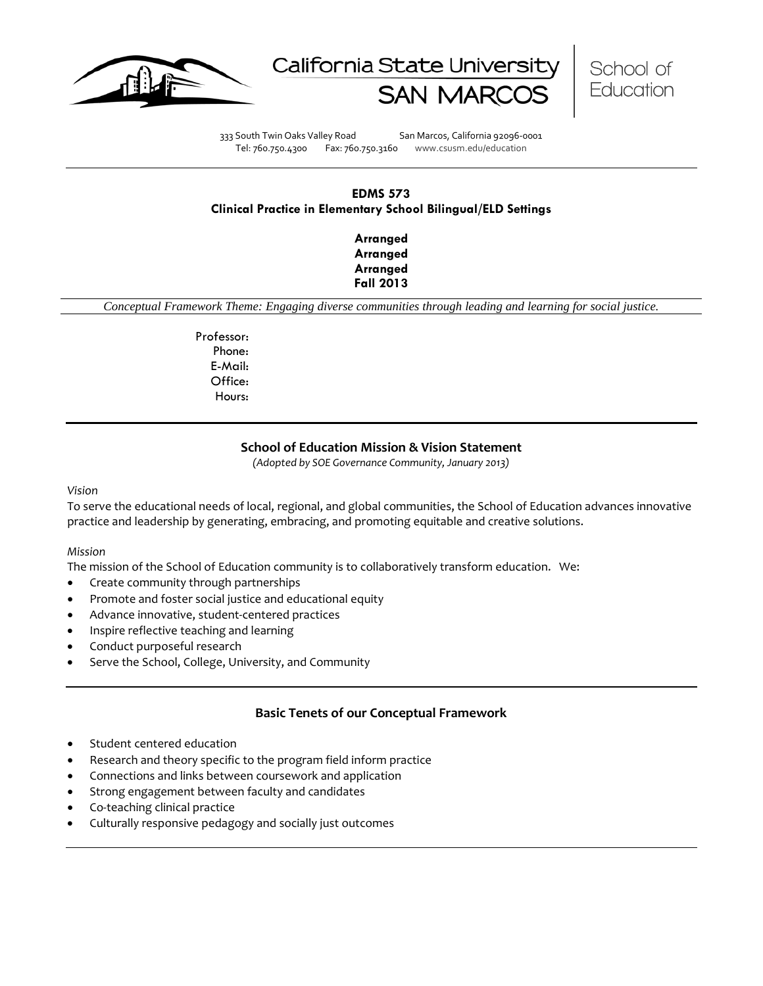





333 South Twin Oaks Valley Road San Marcos, California 92096-0001 Tel: 760.750.4300 Fax: 760.750.3160 www.csusm.edu/education

# **EDMS 573 Clinical Practice in Elementary School Bilingual/ELD Settings**

**Arranged Arranged Arranged Fall 2013** 

*Conceptual Framework Theme: Engaging diverse communities through leading and learning for social justice.*

Professor: Phone: E-Mail: Office: Hours:

## **School of Education Mission & Vision Statement**

*(Adopted by SOE Governance Community, January 2013)*

#### *Vision*

To serve the educational needs of local, regional, and global communities, the School of Education advances innovative practice and leadership by generating, embracing, and promoting equitable and creative solutions.

#### *Mission*

The mission of the School of Education community is to collaboratively transform education. We:

- Create community through partnerships
- Promote and foster social justice and educational equity
- Advance innovative, student-centered practices
- Inspire reflective teaching and learning
- Conduct purposeful research
- Serve the School, College, University, and Community

#### **Basic Tenets of our Conceptual Framework**

- Student centered education
- Research and theory specific to the program field inform practice
- Connections and links between coursework and application
- Strong engagement between faculty and candidates
- Co-teaching clinical practice
- Culturally responsive pedagogy and socially just outcomes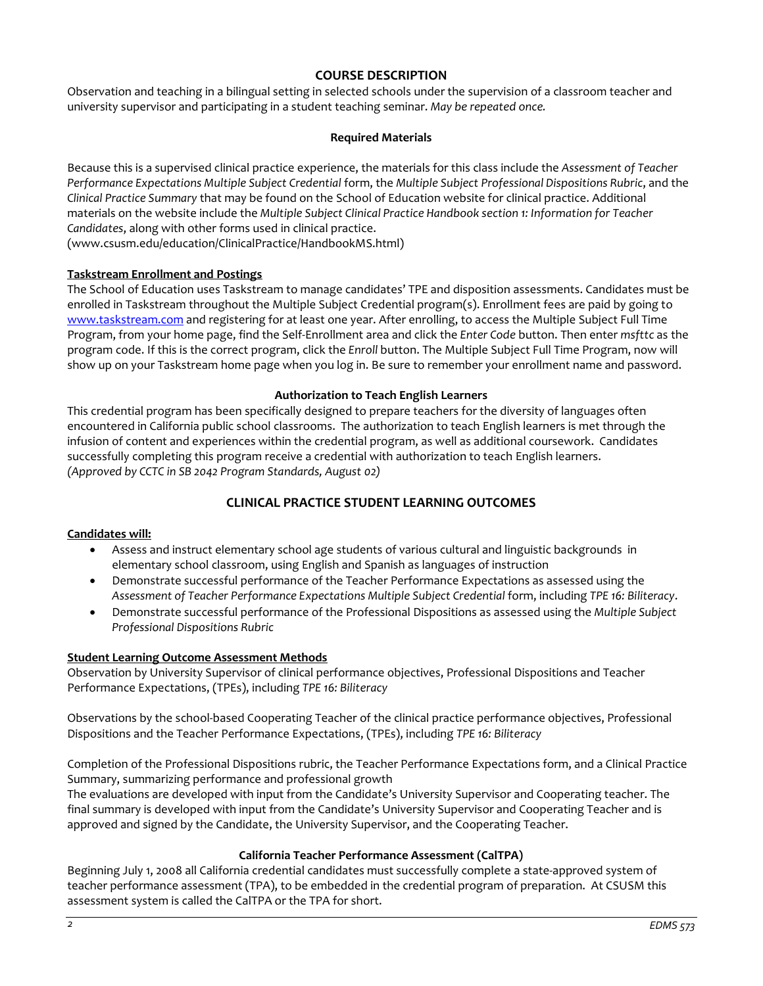# **COURSE DESCRIPTION**

Observation and teaching in a bilingual setting in selected schools under the supervision of a classroom teacher and university supervisor and participating in a student teaching seminar. *May be repeated once.*

# **Required Materials**

Because this is a supervised clinical practice experience, the materials for this class include the *Assessment of Teacher Performance Expectations Multiple Subject Credential* form, the *Multiple Subject Professional Dispositions Rubric*, and the *Clinical Practice Summary* that may be found on the School of Education website for clinical practice. Additional materials on the website include the *Multiple Subject Clinical Practice Handbook section 1: Information for Teacher Candidates*, along with other forms used in clinical practice.

(www.csusm.edu/education/ClinicalPractice/HandbookMS.html)

## **Taskstream Enrollment and Postings**

The School of Education uses Taskstream to manage candidates' TPE and disposition assessments. Candidates must be enrolled in Taskstream throughout the Multiple Subject Credential program(s). Enrollment fees are paid by going to [www.taskstream.com](http://www.taskstrem.com/) and registering for at least one year. After enrolling, to access the Multiple Subject Full Time Program, from your home page, find the Self-Enrollment area and click the *Enter Code* button. Then enter *msfttc* as the program code. If this is the correct program, click the *Enroll* button. The Multiple Subject Full Time Program, now will show up on your Taskstream home page when you log in. Be sure to remember your enrollment name and password.

#### **Authorization to Teach English Learners**

This credential program has been specifically designed to prepare teachers for the diversity of languages often encountered in California public school classrooms. The authorization to teach English learners is met through the infusion of content and experiences within the credential program, as well as additional coursework. Candidates successfully completing this program receive a credential with authorization to teach English learners. *(Approved by CCTC in SB 2042 Program Standards, August 02)*

# **CLINICAL PRACTICE STUDENT LEARNING OUTCOMES**

#### **Candidates will:**

- Assess and instruct elementary school age students of various cultural and linguistic backgrounds in elementary school classroom, using English and Spanish as languages of instruction
- Demonstrate successful performance of the Teacher Performance Expectations as assessed using the *Assessment of Teacher Performance Expectations Multiple Subject Credential* form, including *TPE 16: Biliteracy*.
- Demonstrate successful performance of the Professional Dispositions as assessed using the *Multiple Subject Professional Dispositions Rubric*

#### **Student Learning Outcome Assessment Methods**

Observation by University Supervisor of clinical performance objectives, Professional Dispositions and Teacher Performance Expectations, (TPEs), including *TPE 16: Biliteracy*

Observations by the school-based Cooperating Teacher of the clinical practice performance objectives, Professional Dispositions and the Teacher Performance Expectations, (TPEs), including *TPE 16: Biliteracy*

Completion of the Professional Dispositions rubric, the Teacher Performance Expectations form, and a Clinical Practice Summary, summarizing performance and professional growth

The evaluations are developed with input from the Candidate's University Supervisor and Cooperating teacher. The final summary is developed with input from the Candidate's University Supervisor and Cooperating Teacher and is approved and signed by the Candidate, the University Supervisor, and the Cooperating Teacher.

## **California Teacher Performance Assessment (CalTPA)**

Beginning July 1, 2008 all California credential candidates must successfully complete a state-approved system of teacher performance assessment (TPA), to be embedded in the credential program of preparation. At CSUSM this assessment system is called the CalTPA or the TPA for short.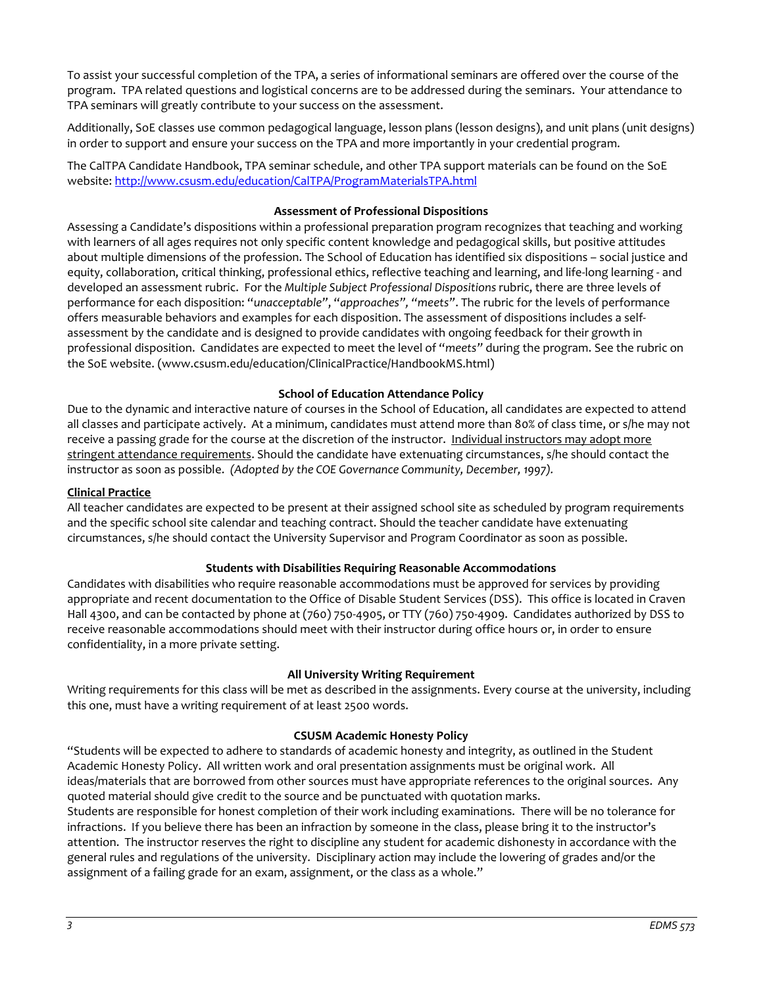To assist your successful completion of the TPA, a series of informational seminars are offered over the course of the program. TPA related questions and logistical concerns are to be addressed during the seminars. Your attendance to TPA seminars will greatly contribute to your success on the assessment.

Additionally, SoE classes use common pedagogical language, lesson plans (lesson designs), and unit plans (unit designs) in order to support and ensure your success on the TPA and more importantly in your credential program.

The CalTPA Candidate Handbook, TPA seminar schedule, and other TPA support materials can be found on the SoE website: <http://www.csusm.edu/education/CalTPA/ProgramMaterialsTPA.html>

## **Assessment of Professional Dispositions**

Assessing a Candidate's dispositions within a professional preparation program recognizes that teaching and working with learners of all ages requires not only specific content knowledge and pedagogical skills, but positive attitudes about multiple dimensions of the profession. The School of Education has identified six dispositions – social justice and equity, collaboration, critical thinking, professional ethics, reflective teaching and learning, and life-long learning - and developed an assessment rubric. For the *Multiple Subject Professional Dispositions* rubric, there are three levels of performance for each disposition: "*unacceptable"*, "*approaches", "meets"*. The rubric for the levels of performance offers measurable behaviors and examples for each disposition. The assessment of dispositions includes a selfassessment by the candidate and is designed to provide candidates with ongoing feedback for their growth in professional disposition. Candidates are expected to meet the level of "*meets"* during the program. See the rubric on the SoE website. (www.csusm.edu/education/ClinicalPractice/HandbookMS.html)

## **School of Education Attendance Policy**

Due to the dynamic and interactive nature of courses in the School of Education, all candidates are expected to attend all classes and participate actively. At a minimum, candidates must attend more than 80% of class time, or s/he may not receive a passing grade for the course at the discretion of the instructor. Individual instructors may adopt more stringent attendance requirements. Should the candidate have extenuating circumstances, s/he should contact the instructor as soon as possible. *(Adopted by the COE Governance Community, December, 1997).*

#### **Clinical Practice**

All teacher candidates are expected to be present at their assigned school site as scheduled by program requirements and the specific school site calendar and teaching contract. Should the teacher candidate have extenuating circumstances, s/he should contact the University Supervisor and Program Coordinator as soon as possible.

## **Students with Disabilities Requiring Reasonable Accommodations**

Candidates with disabilities who require reasonable accommodations must be approved for services by providing appropriate and recent documentation to the Office of Disable Student Services (DSS). This office is located in Craven Hall 4300, and can be contacted by phone at (760) 750-4905, or TTY (760) 750-4909. Candidates authorized by DSS to receive reasonable accommodations should meet with their instructor during office hours or, in order to ensure confidentiality, in a more private setting.

## **All University Writing Requirement**

Writing requirements for this class will be met as described in the assignments. Every course at the university, including this one, must have a writing requirement of at least 2500 words.

#### **CSUSM Academic Honesty Policy**

"Students will be expected to adhere to standards of academic honesty and integrity, as outlined in the Student Academic Honesty Policy. All written work and oral presentation assignments must be original work. All ideas/materials that are borrowed from other sources must have appropriate references to the original sources. Any quoted material should give credit to the source and be punctuated with quotation marks.

Students are responsible for honest completion of their work including examinations. There will be no tolerance for infractions. If you believe there has been an infraction by someone in the class, please bring it to the instructor's attention. The instructor reserves the right to discipline any student for academic dishonesty in accordance with the general rules and regulations of the university. Disciplinary action may include the lowering of grades and/or the assignment of a failing grade for an exam, assignment, or the class as a whole."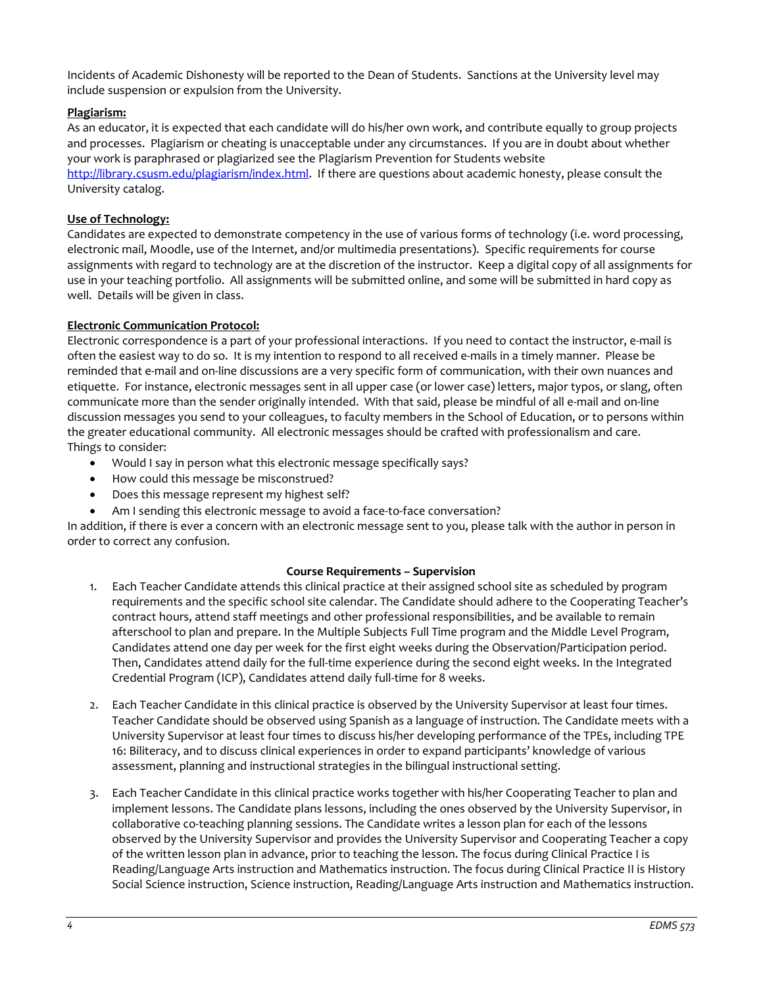Incidents of Academic Dishonesty will be reported to the Dean of Students. Sanctions at the University level may include suspension or expulsion from the University.

# **Plagiarism:**

As an educator, it is expected that each candidate will do his/her own work, and contribute equally to group projects and processes. Plagiarism or cheating is unacceptable under any circumstances. If you are in doubt about whether your work is paraphrased or plagiarized see the Plagiarism Prevention for Students website [http://library.csusm.edu/plagiarism/index.html.](http://library.csusm.edu/plagiarism/index.html) If there are questions about academic honesty, please consult the University catalog.

## **Use of Technology:**

Candidates are expected to demonstrate competency in the use of various forms of technology (i.e. word processing, electronic mail, Moodle, use of the Internet, and/or multimedia presentations). Specific requirements for course assignments with regard to technology are at the discretion of the instructor. Keep a digital copy of all assignments for use in your teaching portfolio. All assignments will be submitted online, and some will be submitted in hard copy as well. Details will be given in class.

## **Electronic Communication Protocol:**

Electronic correspondence is a part of your professional interactions. If you need to contact the instructor, e-mail is often the easiest way to do so. It is my intention to respond to all received e-mails in a timely manner. Please be reminded that e-mail and on-line discussions are a very specific form of communication, with their own nuances and etiquette. For instance, electronic messages sent in all upper case (or lower case) letters, major typos, or slang, often communicate more than the sender originally intended. With that said, please be mindful of all e-mail and on-line discussion messages you send to your colleagues, to faculty members in the School of Education, or to persons within the greater educational community. All electronic messages should be crafted with professionalism and care. Things to consider:

- Would I say in person what this electronic message specifically says?
- How could this message be misconstrued?
- Does this message represent my highest self?
- Am I sending this electronic message to avoid a face-to-face conversation?

In addition, if there is ever a concern with an electronic message sent to you, please talk with the author in person in order to correct any confusion.

#### **Course Requirements – Supervision**

- 1. Each Teacher Candidate attends this clinical practice at their assigned school site as scheduled by program requirements and the specific school site calendar. The Candidate should adhere to the Cooperating Teacher's contract hours, attend staff meetings and other professional responsibilities, and be available to remain afterschool to plan and prepare. In the Multiple Subjects Full Time program and the Middle Level Program, Candidates attend one day per week for the first eight weeks during the Observation/Participation period. Then, Candidates attend daily for the full-time experience during the second eight weeks. In the Integrated Credential Program (ICP), Candidates attend daily full-time for 8 weeks.
- 2. Each Teacher Candidate in this clinical practice is observed by the University Supervisor at least four times. Teacher Candidate should be observed using Spanish as a language of instruction. The Candidate meets with a University Supervisor at least four times to discuss his/her developing performance of the TPEs, including TPE 16: Biliteracy, and to discuss clinical experiences in order to expand participants' knowledge of various assessment, planning and instructional strategies in the bilingual instructional setting.
- 3. Each Teacher Candidate in this clinical practice works together with his/her Cooperating Teacher to plan and implement lessons. The Candidate plans lessons, including the ones observed by the University Supervisor, in collaborative co-teaching planning sessions. The Candidate writes a lesson plan for each of the lessons observed by the University Supervisor and provides the University Supervisor and Cooperating Teacher a copy of the written lesson plan in advance, prior to teaching the lesson. The focus during Clinical Practice I is Reading/Language Arts instruction and Mathematics instruction. The focus during Clinical Practice II is History Social Science instruction, Science instruction, Reading/Language Arts instruction and Mathematics instruction.